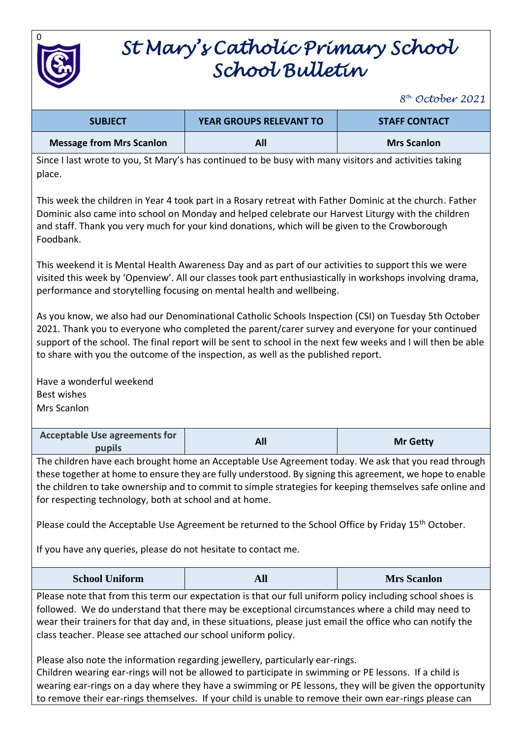

# *St Mary's Catholic Primary School School Bulletin*

*8 th October 2021*

| <b>SUBJECT</b>                                                                                                   | <b>YEAR GROUPS RELEVANT TO</b> | <b>STAFF CONTACT</b> |
|------------------------------------------------------------------------------------------------------------------|--------------------------------|----------------------|
| <b>Message from Mrs Scanlon</b>                                                                                  | All                            | <b>Mrs Scanlon</b>   |
| Since I last wrote to you, St Mary's has continued to be busy with many visitors and activities taking<br>place. |                                |                      |

This week the children in Year 4 took part in a Rosary retreat with Father Dominic at the church. Father Dominic also came into school on Monday and helped celebrate our Harvest Liturgy with the children and staff. Thank you very much for your kind donations, which will be given to the Crowborough Foodbank.

This weekend it is Mental Health Awareness Day and as part of our activities to support this we were visited this week by 'Openview'. All our classes took part enthusiastically in workshops involving drama, performance and storytelling focusing on mental health and wellbeing.

As you know, we also had our Denominational Catholic Schools Inspection (CSI) on Tuesday 5th October 2021. Thank you to everyone who completed the parent/carer survey and everyone for your continued support of the school. The final report will be sent to school in the next few weeks and I will then be able to share with you the outcome of the inspection, as well as the published report.

Have a wonderful weekend Best wishes Mrs Scanlon

| <b>Acceptable Use agreements for</b> | <b>Mr Getty</b> |
|--------------------------------------|-----------------|
| pupils                               |                 |

The children have each brought home an Acceptable Use Agreement today. We ask that you read through these together at home to ensure they are fully understood. By signing this agreement, we hope to enable the children to take ownership and to commit to simple strategies for keeping themselves safe online and for respecting technology, both at school and at home.

Please could the Acceptable Use Agreement be returned to the School Office by Friday 15<sup>th</sup> October.

If you have any queries, please do not hesitate to contact me.

| <b>School Uniform</b> | AIJ | <b>Mrs Scanlon</b> |
|-----------------------|-----|--------------------|
|-----------------------|-----|--------------------|

Please note that from this term our expectation is that our full uniform policy including school shoes is followed. We do understand that there may be exceptional circumstances where a child may need to wear their trainers for that day and, in these situations, please just email the office who can notify the class teacher. Please see attached our school uniform policy.

Please also note the information regarding jewellery, particularly ear-rings. Children wearing ear-rings will not be allowed to participate in swimming or PE lessons. If a child is wearing ear-rings on a day where they have a swimming or PE lessons, they will be given the opportunity to remove their ear-rings themselves. If your child is unable to remove their own ear-rings please can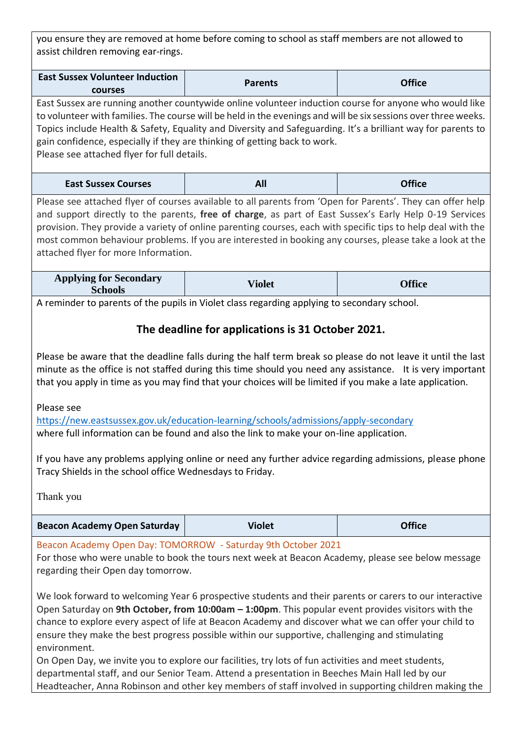you ensure they are removed at home before coming to school as staff members are not allowed to assist children removing ear-rings.

| <b>East Sussex Volunteer Induction</b> | <b>Parents</b> | <b>Office</b> |
|----------------------------------------|----------------|---------------|
| <b>courses</b>                         |                |               |

East Sussex are running another countywide online volunteer induction course for anyone who would like to volunteer with families. The course will be held in the evenings and will be six sessions over three weeks. Topics include Health & Safety, Equality and Diversity and Safeguarding. It's a brilliant way for parents to gain confidence, especially if they are thinking of getting back to work. Please see attached flyer for full details.

| <b>East Sussex Courses</b> | All | <b>Office</b> |
|----------------------------|-----|---------------|
|----------------------------|-----|---------------|

Please see attached flyer of courses available to all parents from 'Open for Parents'. They can offer help and support directly to the parents, **free of charge**, as part of East Sussex's Early Help 0-19 Services provision. They provide a variety of online parenting courses, each with specific tips to help deal with the most common behaviour problems. If you are interested in booking any courses, please take a look at the attached flyer for more Information.

| <b>Applying for Secondary</b><br>Schools | Violet | Office |
|------------------------------------------|--------|--------|

A reminder to parents of the pupils in Violet class regarding applying to secondary school.

# **The deadline for applications is 31 October 2021.**

Please be aware that the deadline falls during the half term break so please do not leave it until the last minute as the office is not staffed during this time should you need any assistance. It is very important that you apply in time as you may find that your choices will be limited if you make a late application.

Please see

<https://new.eastsussex.gov.uk/education-learning/schools/admissions/apply-secondary> where full information can be found and also the link to make your on-line application.

If you have any problems applying online or need any further advice regarding admissions, please phone Tracy Shields in the school office Wednesdays to Friday.

Thank you

| <b>Beacon Academy Open Saturday</b> | <b>Violet</b> | <b>Office</b> |
|-------------------------------------|---------------|---------------|
|-------------------------------------|---------------|---------------|

# Beacon Academy Open Day: TOMORROW - Saturday 9th October 2021

For those who were unable to book the tours next week at Beacon Academy, please see below message regarding their Open day tomorrow.

We look forward to welcoming Year 6 prospective students and their parents or carers to our interactive Open Saturday on **9th October, from 10:00am – 1:00pm**. This popular event provides visitors with the chance to explore every aspect of life at Beacon Academy and discover what we can offer your child to ensure they make the best progress possible within our supportive, challenging and stimulating environment.

On Open Day, we invite you to explore our facilities, try lots of fun activities and meet students, departmental staff, and our Senior Team. Attend a presentation in Beeches Main Hall led by our Headteacher, Anna Robinson and other key members of staff involved in supporting children making the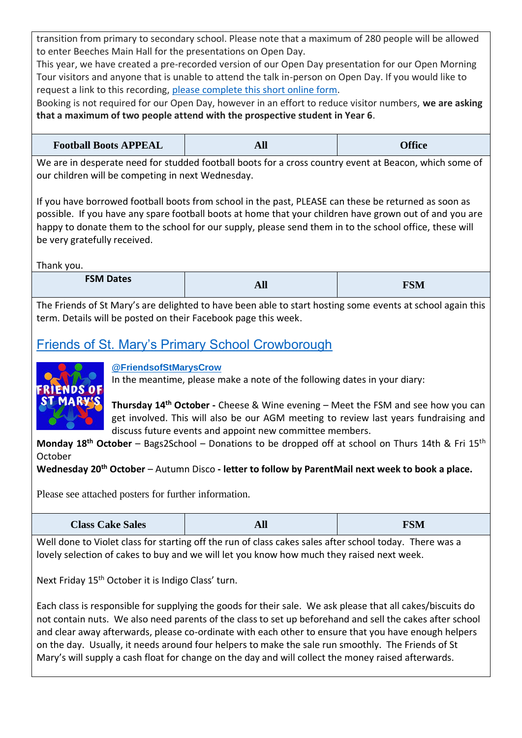transition from primary to secondary school. Please note that a maximum of 280 people will be allowed to enter Beeches Main Hall for the presentations on Open Day.

This year, we have created a pre-recorded version of our Open Day presentation for our Open Morning Tour visitors and anyone that is unable to attend the talk in-person on Open Day. If you would like to request a link to this recording, [please complete this short online form.](https://forms.office.com/Pages/ResponsePage.aspx?id=mdWjD86KDEm2BQrB2kqb1KhJMLWCvhBOkuwUY6xQGYNUNkdKQ1ZWQklWTjdVSTdSSzZPNVA5WTVCNC4u)

Booking is not required for our Open Day, however in an effort to reduce visitor numbers, **we are asking that a maximum of two people attend with the prospective student in Year 6**.

| <b>Football Boots APPEAL</b> | All | <b>Office</b> |
|------------------------------|-----|---------------|
|------------------------------|-----|---------------|

We are in desperate need for studded football boots for a cross country event at Beacon, which some of our children will be competing in next Wednesday.

If you have borrowed football boots from school in the past, PLEASE can these be returned as soon as possible. If you have any spare football boots at home that your children have grown out of and you are happy to donate them to the school for our supply, please send them in to the school office, these will be very gratefully received.

Thank you.

| <b>FSM Dates</b> | - 7<br>$\mathbf{L}$ | <b>FSM</b> |
|------------------|---------------------|------------|
|                  |                     |            |

The Friends of St Mary's are delighted to have been able to start hosting some events at school again this term. Details will be posted on their Facebook page this week.

# [Friends of St. Mary's Primary School Crowborough](https://www.facebook.com/FriendsofStMarysCrow/)



### **[@FriendsofStMarysCrow](https://www.facebook.com/FriendsofStMarysCrow/)**

In the meantime, please make a note of the following dates in your diary:

**Thursday 14th October -** Cheese & Wine evening – Meet the FSM and see how you can get involved. This will also be our AGM meeting to review last years fundraising and discuss future events and appoint new committee members.

**Monday 18th October** – Bags2School – Donations to be dropped off at school on Thurs 14th & Fri 15th October

**Wednesday 20th October** – Autumn Disco **- letter to follow by ParentMail next week to book a place.**

Please see attached posters for further information.

| <b>Class Cake Sales</b> | All | <b>FSM</b> |
|-------------------------|-----|------------|
|                         |     |            |

Well done to Violet class for starting off the run of class cakes sales after school today. There was a lovely selection of cakes to buy and we will let you know how much they raised next week.

Next Friday 15<sup>th</sup> October it is Indigo Class' turn.

Each class is responsible for supplying the goods for their sale. We ask please that all cakes/biscuits do not contain nuts. We also need parents of the class to set up beforehand and sell the cakes after school and clear away afterwards, please co-ordinate with each other to ensure that you have enough helpers on the day. Usually, it needs around four helpers to make the sale run smoothly. The Friends of St Mary's will supply a cash float for change on the day and will collect the money raised afterwards.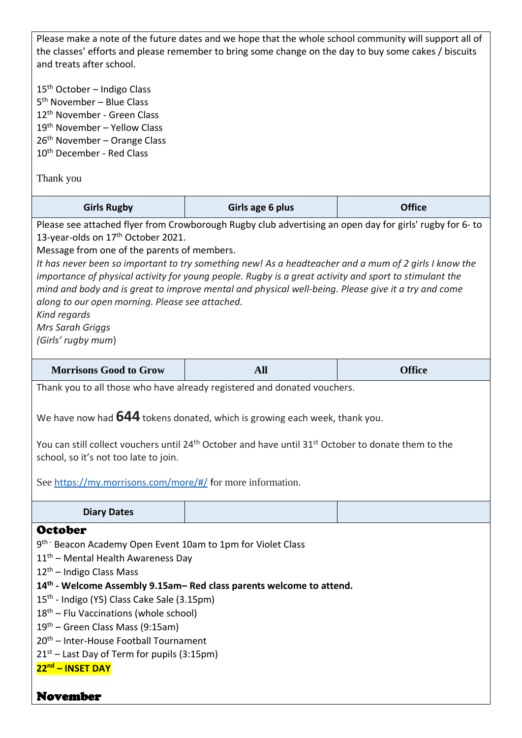Please make a note of the future dates and we hope that the whole school community will support all of the classes' efforts and please remember to bring some change on the day to buy some cakes / biscuits and treats after school.

15<sup>th</sup> October – Indigo Class th November – Blue Class th November - Green Class th November – Yellow Class th November – Orange Class 10<sup>th</sup> December - Red Class

Thank you

| <b>Girls Rugby</b>                                                                                     | Girls age 6 plus                                                                                         | <b>Office</b> |
|--------------------------------------------------------------------------------------------------------|----------------------------------------------------------------------------------------------------------|---------------|
|                                                                                                        | Please see attached flyer from Crowborough Rugby club advertising an open day for girls' rugby for 6- to |               |
| 13-year-olds on 17 <sup>th</sup> October 2021.                                                         |                                                                                                          |               |
| Message from one of the parents of members.                                                            |                                                                                                          |               |
| It has never been so important to try something new! As a headteacher and a mum of 2 girls I know the  |                                                                                                          |               |
| importance of physical activity for young people. Rugby is a great activity and sport to stimulant the |                                                                                                          |               |
| mind and body and is great to improve mental and physical well-being. Please give it a try and come    |                                                                                                          |               |
| along to our open morning. Please see attached.                                                        |                                                                                                          |               |
| Kind regards                                                                                           |                                                                                                          |               |
| <b>Mrs Sarah Griggs</b>                                                                                |                                                                                                          |               |

*(Girls' rugby mum*)

| Morrisons Good to Grow | <b>Office</b> |
|------------------------|---------------|
|                        |               |

Thank you to all those who have already registered and donated vouchers.

We have now had **644** tokens donated, which is growing each week, thank you.

You can still collect vouchers until 24<sup>th</sup> October and have until 31<sup>st</sup> October to donate them to the school, so it's not too late to join.

See <https://my.morrisons.com/more/#/> for more information.

**Diary Dates**

# **October**

9<sup>th -</sup> Beacon Academy Open Event 10am to 1pm for Violet Class

11<sup>th</sup> – Mental Health Awareness Day

 $12<sup>th</sup>$  – Indigo Class Mass

- **14th - Welcome Assembly 9.15am– Red class parents welcome to attend.**
- 15<sup>th</sup> Indigo (Y5) Class Cake Sale (3.15pm)
- $18<sup>th</sup>$  Flu Vaccinations (whole school)

19th – Green Class Mass (9:15am)

- 20th Inter-House Football Tournament
- $21<sup>st</sup>$  Last Day of Term for pupils (3:15pm)

### **22nd – INSET DAY**

# November